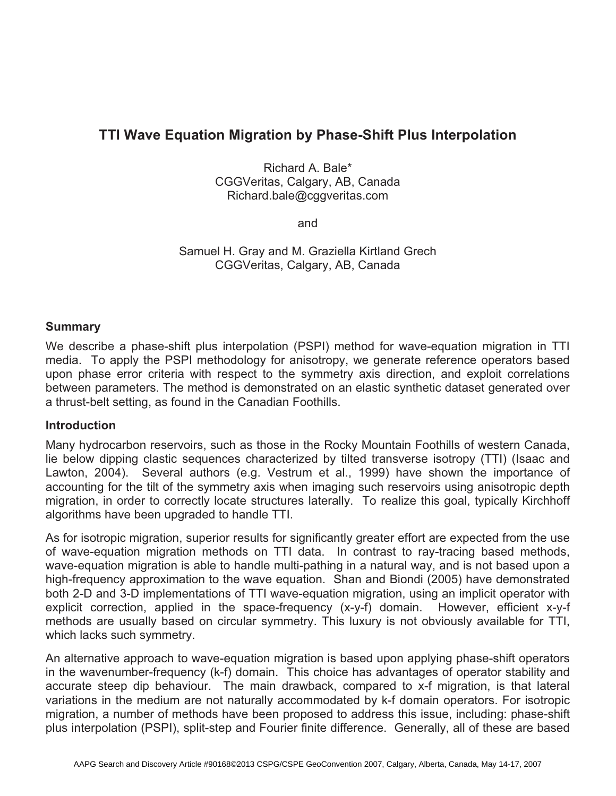# **TTI Wave Equation Migration by Phase-Shift Plus Interpolation**

Richard A. Bale\* CGGVeritas, Calgary, AB, Canada Richard.bale@cggveritas.com

and

Samuel H. Gray and M. Graziella Kirtland Grech CGGVeritas, Calgary, AB, Canada

#### **Summary**

We describe a phase-shift plus interpolation (PSPI) method for wave-equation migration in TTI media. To apply the PSPI methodology for anisotropy, we generate reference operators based upon phase error criteria with respect to the symmetry axis direction, and exploit correlations between parameters. The method is demonstrated on an elastic synthetic dataset generated over a thrust-belt setting, as found in the Canadian Foothills.

#### **Introduction**

Many hydrocarbon reservoirs, such as those in the Rocky Mountain Foothills of western Canada, lie below dipping clastic sequences characterized by tilted transverse isotropy (TTI) (Isaac and Lawton, 2004). Several authors (e.g. Vestrum et al., 1999) have shown the importance of accounting for the tilt of the symmetry axis when imaging such reservoirs using anisotropic depth migration, in order to correctly locate structures laterally. To realize this goal, typically Kirchhoff algorithms have been upgraded to handle TTI.

As for isotropic migration, superior results for significantly greater effort are expected from the use of wave-equation migration methods on TTI data. In contrast to ray-tracing based methods, wave-equation migration is able to handle multi-pathing in a natural way, and is not based upon a high-frequency approximation to the wave equation. Shan and Biondi (2005) have demonstrated both 2-D and 3-D implementations of TTI wave-equation migration, using an implicit operator with explicit correction, applied in the space-frequency (x-y-f) domain. However, efficient x-y-f methods are usually based on circular symmetry. This luxury is not obviously available for TTI, which lacks such symmetry.

An alternative approach to wave-equation migration is based upon applying phase-shift operators in the wavenumber-frequency (k-f) domain. This choice has advantages of operator stability and accurate steep dip behaviour. The main drawback, compared to x-f migration, is that lateral variations in the medium are not naturally accommodated by k-f domain operators. For isotropic migration, a number of methods have been proposed to address this issue, including: phase-shift plus interpolation (PSPI), split-step and Fourier finite difference. Generally, all of these are based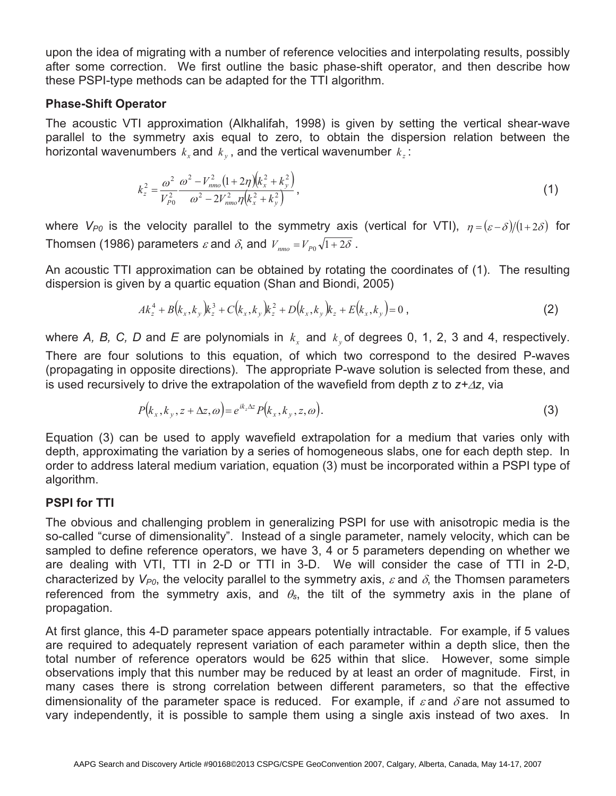upon the idea of migrating with a number of reference velocities and interpolating results, possibly after some correction. We first outline the basic phase-shift operator, and then describe how these PSPI-type methods can be adapted for the TTI algorithm.

### **Phase-Shift Operator**

The acoustic VTI approximation (Alkhalifah, 1998) is given by setting the vertical shear-wave parallel to the symmetry axis equal to zero, to obtain the dispersion relation between the horizontal wavenumbers  $k_x$  and  $k_y$ , and the vertical wavenumber  $k_z$ :

$$
k_z^2 = \frac{\omega^2}{V_{p_0}^2} \frac{\omega^2 - V_{nmo}^2 (1 + 2\eta) (k_x^2 + k_y^2)}{\omega^2 - 2V_{nmo}^2 \eta (k_x^2 + k_y^2)},
$$
\n(1)

where  $V_{P0}$  is the velocity parallel to the symmetry axis (vertical for VTI),  $\eta = (\varepsilon - \delta)/(1 + 2\delta)$  for Thomsen (1986) parameters  $\varepsilon$  and  $\delta$ , and  $V_{\text{pmo}} = V_{\text{p0}}\sqrt{1+2\delta}$ .

An acoustic TTI approximation can be obtained by rotating the coordinates of (1). The resulting dispersion is given by a quartic equation (Shan and Biondi, 2005)

$$
Ak_z^4 + B(k_x, k_y)k_z^3 + C(k_x, k_y)k_z^2 + D(k_x, k_y)k_z + E(k_x, k_y) = 0,
$$
\n(2)

where *A, B, C, D* and *E* are polynomials in  $k<sub>x</sub>$  and  $k<sub>y</sub>$  of degrees 0, 1, 2, 3 and 4, respectively. There are four solutions to this equation, of which two correspond to the desired P-waves (propagating in opposite directions). The appropriate P-wave solution is selected from these, and is used recursively to drive the extrapolation of the wavefield from depth  $z$  to  $z + \Delta z$ , via

$$
P(k_x, k_y, z + \Delta z, \omega) = e^{ik_z \Delta z} P(k_x, k_y, z, \omega).
$$
\n(3)

Equation (3) can be used to apply wavefield extrapolation for a medium that varies only with depth, approximating the variation by a series of homogeneous slabs, one for each depth step. In order to address lateral medium variation, equation (3) must be incorporated within a PSPI type of algorithm.

### **PSPI for TTI**

The obvious and challenging problem in generalizing PSPI for use with anisotropic media is the so-called "curse of dimensionality". Instead of a single parameter, namely velocity, which can be sampled to define reference operators, we have 3, 4 or 5 parameters depending on whether we are dealing with VTI, TTI in 2-D or TTI in 3-D. We will consider the case of TTI in 2-D, characterized by  $V_{P0}$ , the velocity parallel to the symmetry axis,  $\varepsilon$  and  $\delta$ , the Thomsen parameters referenced from the symmetry axis, and  $\theta_s$ , the tilt of the symmetry axis in the plane of propagation.

At first glance, this 4-D parameter space appears potentially intractable. For example, if 5 values are required to adequately represent variation of each parameter within a depth slice, then the total number of reference operators would be 625 within that slice. However, some simple observations imply that this number may be reduced by at least an order of magnitude. First, in many cases there is strong correlation between different parameters, so that the effective dimensionality of the parameter space is reduced. For example, if  $\varepsilon$  and  $\delta$  are not assumed to vary independently, it is possible to sample them using a single axis instead of two axes. In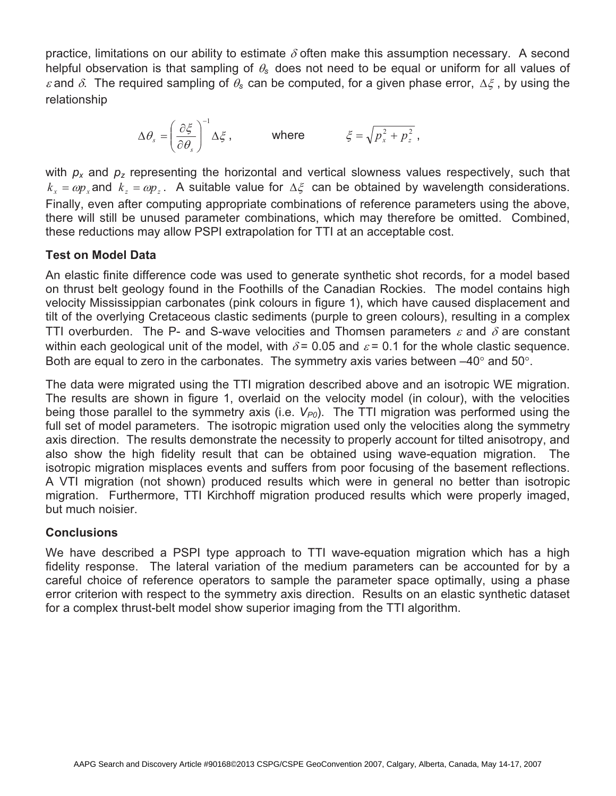practice, limitations on our ability to estimate  $\delta$  often make this assumption necessary. A second helpful observation is that sampling of  $\theta_s$  does not need to be equal or uniform for all values of  $\varepsilon$  and  $\delta$ . The required sampling of  $\theta_s$  can be computed, for a given phase error,  $\Delta \xi$ , by using the relationship

$$
\Delta \theta_s = \left(\frac{\partial \xi}{\partial \theta_s}\right)^{-1} \Delta \xi, \quad \text{where} \quad \xi = \sqrt{p_x^2 + p_z^2},
$$

with  $p_x$  and  $p_z$  representing the horizontal and vertical slowness values respectively, such that  $k_x = \omega p_x$  and  $k_z = \omega p_z$ . A suitable value for  $\Delta \xi$  can be obtained by wavelength considerations. Finally, even after computing appropriate combinations of reference parameters using the above, there will still be unused parameter combinations, which may therefore be omitted. Combined, these reductions may allow PSPI extrapolation for TTI at an acceptable cost.

## **Test on Model Data**

An elastic finite difference code was used to generate synthetic shot records, for a model based on thrust belt geology found in the Foothills of the Canadian Rockies. The model contains high velocity Mississippian carbonates (pink colours in figure 1), which have caused displacement and tilt of the overlying Cretaceous clastic sediments (purple to green colours), resulting in a complex TTI overburden. The P- and S-wave velocities and Thomsen parameters  $\varepsilon$  and  $\delta$  are constant within each geological unit of the model, with  $\delta$  = 0.05 and  $\varepsilon$  = 0.1 for the whole clastic sequence. Both are equal to zero in the carbonates. The symmetry axis varies between  $-40^{\circ}$  and 50 $^{\circ}$ .

The data were migrated using the TTI migration described above and an isotropic WE migration. The results are shown in figure 1, overlaid on the velocity model (in colour), with the velocities being those parallel to the symmetry axis (i.e.  $V_{P0}$ ). The TTI migration was performed using the full set of model parameters. The isotropic migration used only the velocities along the symmetry axis direction. The results demonstrate the necessity to properly account for tilted anisotropy, and also show the high fidelity result that can be obtained using wave-equation migration. The isotropic migration misplaces events and suffers from poor focusing of the basement reflections. A VTI migration (not shown) produced results which were in general no better than isotropic migration. Furthermore, TTI Kirchhoff migration produced results which were properly imaged, but much noisier.

# **Conclusions**

We have described a PSPI type approach to TTI wave-equation migration which has a high fidelity response. The lateral variation of the medium parameters can be accounted for by a careful choice of reference operators to sample the parameter space optimally, using a phase error criterion with respect to the symmetry axis direction. Results on an elastic synthetic dataset for a complex thrust-belt model show superior imaging from the TTI algorithm.